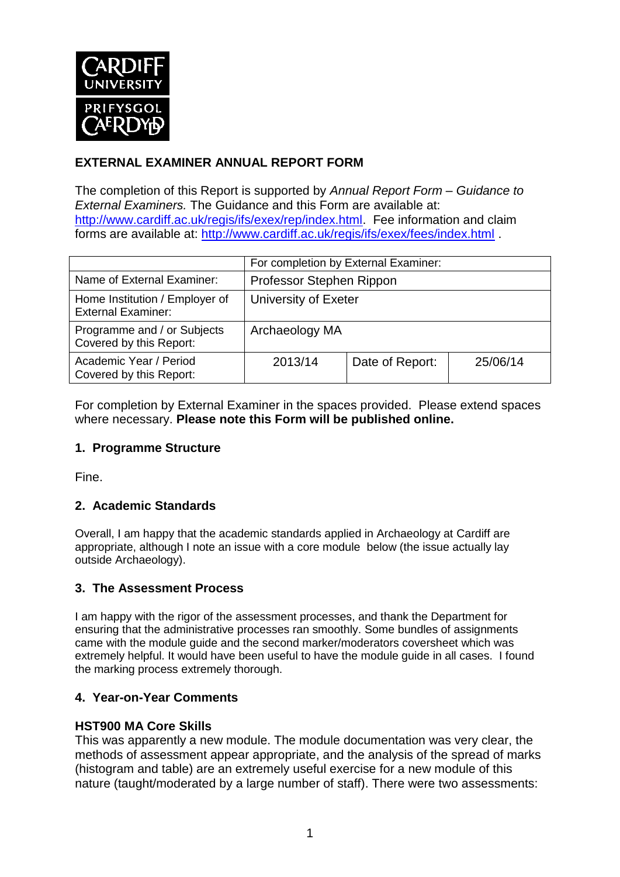

# **EXTERNAL EXAMINER ANNUAL REPORT FORM**

The completion of this Report is supported by *Annual Report Form – Guidance to External Examiners.* The Guidance and this Form are available at: [http://www.cardiff.ac.uk/regis/ifs/exex/rep/index.html.](http://www.cardiff.ac.uk/regis/ifs/exex/rep/index.html) Fee information and claim forms are available at:<http://www.cardiff.ac.uk/regis/ifs/exex/fees/index.html> .

|                                                             | For completion by External Examiner: |                 |          |  |
|-------------------------------------------------------------|--------------------------------------|-----------------|----------|--|
| Name of External Examiner:                                  | Professor Stephen Rippon             |                 |          |  |
| Home Institution / Employer of<br><b>External Examiner:</b> | University of Exeter                 |                 |          |  |
| Programme and / or Subjects<br>Covered by this Report:      | Archaeology MA                       |                 |          |  |
| Academic Year / Period<br>Covered by this Report:           | 2013/14                              | Date of Report: | 25/06/14 |  |

For completion by External Examiner in the spaces provided. Please extend spaces where necessary. **Please note this Form will be published online.**

# **1. Programme Structure**

Fine.

# **2. Academic Standards**

Overall, I am happy that the academic standards applied in Archaeology at Cardiff are appropriate, although I note an issue with a core module below (the issue actually lay outside Archaeology).

### **3. The Assessment Process**

I am happy with the rigor of the assessment processes, and thank the Department for ensuring that the administrative processes ran smoothly. Some bundles of assignments came with the module guide and the second marker/moderators coversheet which was extremely helpful. It would have been useful to have the module guide in all cases. I found the marking process extremely thorough.

### **4. Year-on-Year Comments**

### **HST900 MA Core Skills**

This was apparently a new module. The module documentation was very clear, the methods of assessment appear appropriate, and the analysis of the spread of marks (histogram and table) are an extremely useful exercise for a new module of this nature (taught/moderated by a large number of staff). There were two assessments: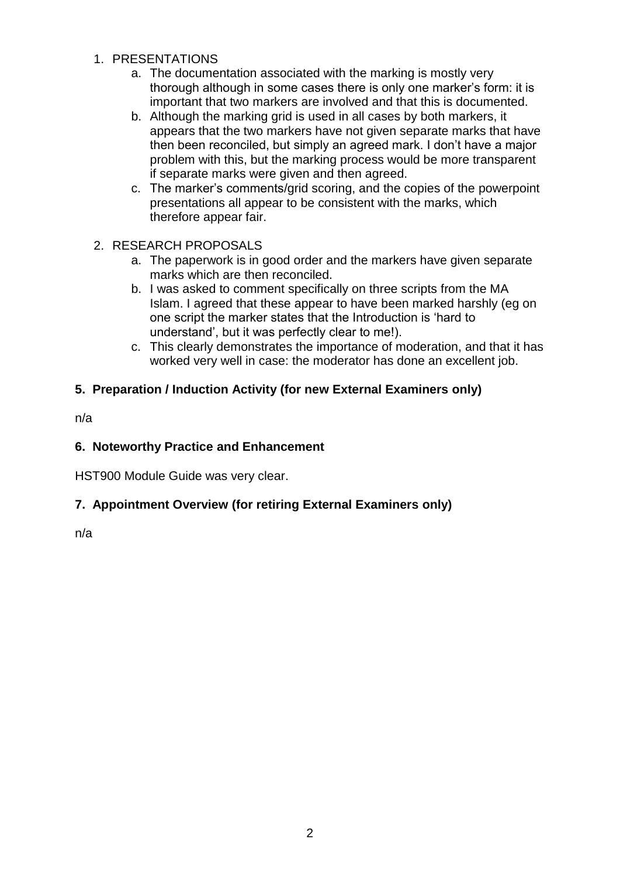- 1. PRESENTATIONS
	- a. The documentation associated with the marking is mostly very thorough although in some cases there is only one marker's form: it is important that two markers are involved and that this is documented.
	- b. Although the marking grid is used in all cases by both markers, it appears that the two markers have not given separate marks that have then been reconciled, but simply an agreed mark. I don't have a major problem with this, but the marking process would be more transparent if separate marks were given and then agreed.
	- c. The marker's comments/grid scoring, and the copies of the powerpoint presentations all appear to be consistent with the marks, which therefore appear fair.
- 2. RESEARCH PROPOSALS
	- a. The paperwork is in good order and the markers have given separate marks which are then reconciled.
	- b. I was asked to comment specifically on three scripts from the MA Islam. I agreed that these appear to have been marked harshly (eg on one script the marker states that the Introduction is 'hard to understand', but it was perfectly clear to me!).
	- c. This clearly demonstrates the importance of moderation, and that it has worked very well in case: the moderator has done an excellent job.

# **5. Preparation / Induction Activity (for new External Examiners only)**

n/a

# **6. Noteworthy Practice and Enhancement**

HST900 Module Guide was very clear.

# **7. Appointment Overview (for retiring External Examiners only)**

n/a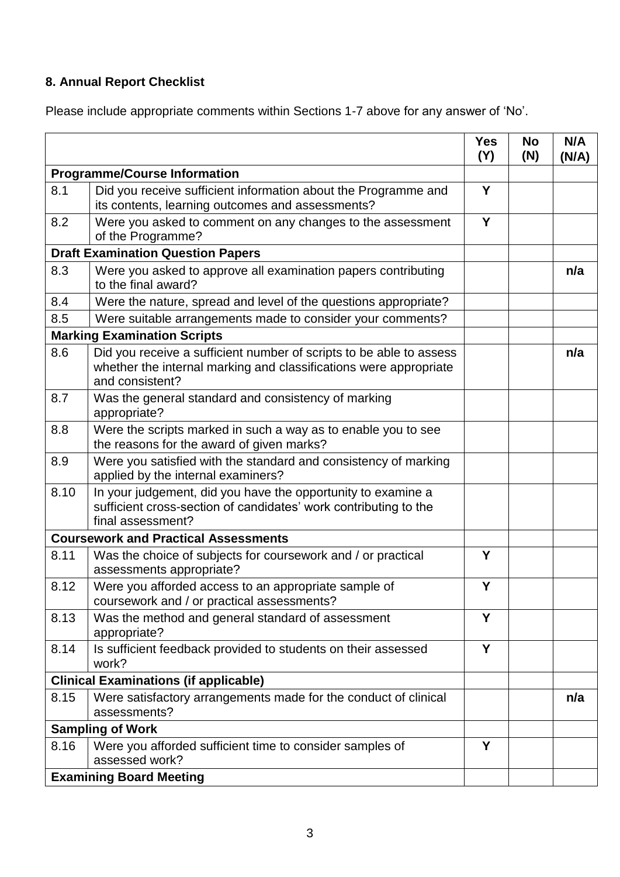# **8. Annual Report Checklist**

Please include appropriate comments within Sections 1-7 above for any answer of 'No'.

|                                             |                                                                                                                                                             | <b>Yes</b><br>(Y) | <b>No</b><br>(N) | N/A<br>(N/A) |
|---------------------------------------------|-------------------------------------------------------------------------------------------------------------------------------------------------------------|-------------------|------------------|--------------|
| <b>Programme/Course Information</b>         |                                                                                                                                                             |                   |                  |              |
| 8.1                                         | Did you receive sufficient information about the Programme and<br>its contents, learning outcomes and assessments?                                          | Y                 |                  |              |
| 8.2                                         | Were you asked to comment on any changes to the assessment<br>of the Programme?                                                                             | Y                 |                  |              |
| <b>Draft Examination Question Papers</b>    |                                                                                                                                                             |                   |                  |              |
| 8.3                                         | Were you asked to approve all examination papers contributing<br>to the final award?                                                                        |                   |                  | n/a          |
| 8.4                                         | Were the nature, spread and level of the questions appropriate?                                                                                             |                   |                  |              |
| 8.5                                         | Were suitable arrangements made to consider your comments?                                                                                                  |                   |                  |              |
|                                             | <b>Marking Examination Scripts</b>                                                                                                                          |                   |                  |              |
| 8.6                                         | Did you receive a sufficient number of scripts to be able to assess<br>whether the internal marking and classifications were appropriate<br>and consistent? |                   |                  | n/a          |
| 8.7                                         | Was the general standard and consistency of marking<br>appropriate?                                                                                         |                   |                  |              |
| 8.8                                         | Were the scripts marked in such a way as to enable you to see<br>the reasons for the award of given marks?                                                  |                   |                  |              |
| 8.9                                         | Were you satisfied with the standard and consistency of marking<br>applied by the internal examiners?                                                       |                   |                  |              |
| 8.10                                        | In your judgement, did you have the opportunity to examine a<br>sufficient cross-section of candidates' work contributing to the<br>final assessment?       |                   |                  |              |
| <b>Coursework and Practical Assessments</b> |                                                                                                                                                             |                   |                  |              |
| 8.11                                        | Was the choice of subjects for coursework and / or practical<br>assessments appropriate?                                                                    | Y                 |                  |              |
| 8.12                                        | Were you afforded access to an appropriate sample of<br>coursework and / or practical assessments?                                                          | Y                 |                  |              |
| 8.13                                        | Was the method and general standard of assessment<br>appropriate?                                                                                           | Y                 |                  |              |
| 8.14                                        | Is sufficient feedback provided to students on their assessed<br>work?                                                                                      | Y                 |                  |              |
|                                             | <b>Clinical Examinations (if applicable)</b>                                                                                                                |                   |                  |              |
| 8.15                                        | Were satisfactory arrangements made for the conduct of clinical<br>assessments?                                                                             |                   |                  | n/a          |
| <b>Sampling of Work</b>                     |                                                                                                                                                             |                   |                  |              |
| 8.16                                        | Were you afforded sufficient time to consider samples of<br>assessed work?                                                                                  | Y                 |                  |              |
| <b>Examining Board Meeting</b>              |                                                                                                                                                             |                   |                  |              |